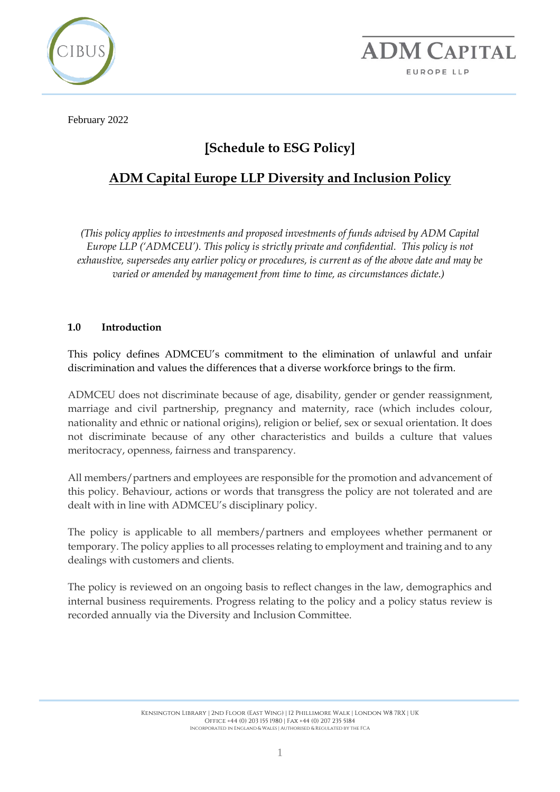



February 2022

# **[Schedule to ESG Policy]**

## **ADM Capital Europe LLP Diversity and Inclusion Policy**

*(This policy applies to investments and proposed investments of funds advised by ADM Capital Europe LLP ('ADMCEU'). This policy is strictly private and confidential. This policy is not exhaustive, supersedes any earlier policy or procedures, is current as of the above date and may be varied or amended by management from time to time, as circumstances dictate.)*

#### **1.0 Introduction**

This policy defines ADMCEU's commitment to the elimination of unlawful and unfair discrimination and values the differences that a diverse workforce brings to the firm.

ADMCEU does not discriminate because of age, disability, gender or gender reassignment, marriage and civil partnership, pregnancy and maternity, race (which includes colour, nationality and ethnic or national origins), religion or belief, sex or sexual orientation. It does not discriminate because of any other characteristics and builds a culture that values meritocracy, openness, fairness and transparency.

All members/partners and employees are responsible for the promotion and advancement of this policy. Behaviour, actions or words that transgress the policy are not tolerated and are dealt with in line with ADMCEU's disciplinary policy.

The policy is applicable to all members/partners and employees whether permanent or temporary. The policy applies to all processes relating to employment and training and to any dealings with customers and clients.

The policy is reviewed on an ongoing basis to reflect changes in the law, demographics and internal business requirements. Progress relating to the policy and a policy status review is recorded annually via the Diversity and Inclusion Committee.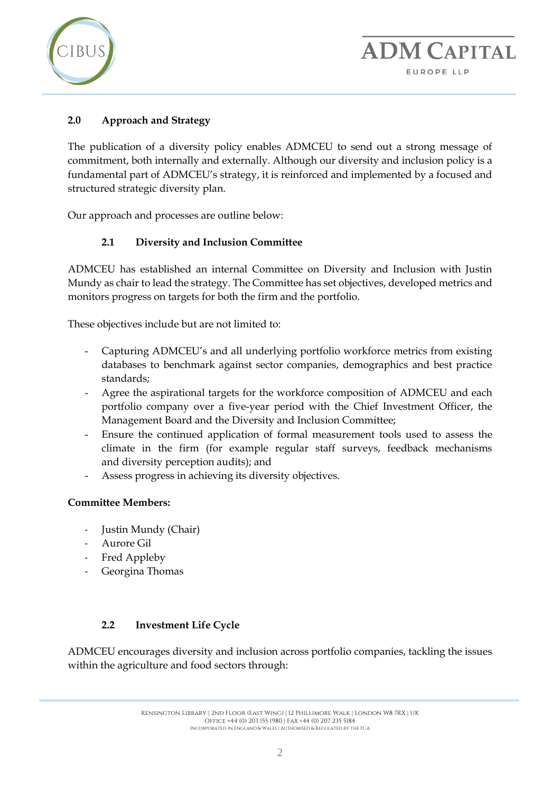

### **2.0 Approach and Strategy**

The publication of a diversity policy enables ADMCEU to send out a strong message of commitment, both internally and externally. Although our diversity and inclusion policy is a fundamental part of ADMCEU's strategy, it is reinforced and implemented by a focused and structured strategic diversity plan.

Our approach and processes are outline below:

#### **2.1 Diversity and Inclusion Committee**

ADMCEU has established an internal Committee on Diversity and Inclusion with Justin Mundy as chair to lead the strategy. The Committee has set objectives, developed metrics and monitors progress on targets for both the firm and the portfolio.

These objectives include but are not limited to:

- Capturing ADMCEU's and all underlying portfolio workforce metrics from existing databases to benchmark against sector companies, demographics and best practice standards;
- Agree the aspirational targets for the workforce composition of ADMCEU and each portfolio company over a five-year period with the Chief Investment Officer, the Management Board and the Diversity and Inclusion Committee;
- Ensure the continued application of formal measurement tools used to assess the climate in the firm (for example regular staff surveys, feedback mechanisms and diversity perception audits); and
- Assess progress in achieving its diversity objectives.

#### **Committee Members:**

- Justin Mundy (Chair)
- Aurore Gil
- Fred Appleby
- Georgina Thomas

#### **2.2 Investment Life Cycle**

ADMCEU encourages diversity and inclusion across portfolio companies, tackling the issues within the agriculture and food sectors through: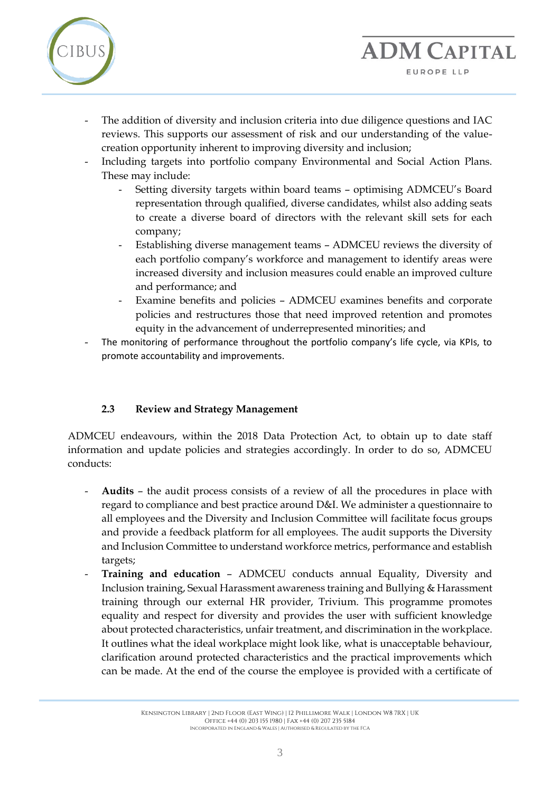

- The addition of diversity and inclusion criteria into due diligence questions and IAC reviews. This supports our assessment of risk and our understanding of the valuecreation opportunity inherent to improving diversity and inclusion;
- Including targets into portfolio company Environmental and Social Action Plans. These may include:
	- Setting diversity targets within board teams optimising ADMCEU's Board representation through qualified, diverse candidates, whilst also adding seats to create a diverse board of directors with the relevant skill sets for each company;

**ADM CAPITAL** 

EUROPE LLP

- Establishing diverse management teams ADMCEU reviews the diversity of each portfolio company's workforce and management to identify areas were increased diversity and inclusion measures could enable an improved culture and performance; and
- Examine benefits and policies ADMCEU examines benefits and corporate policies and restructures those that need improved retention and promotes equity in the advancement of underrepresented minorities; and
- The monitoring of performance throughout the portfolio company's life cycle, via KPIs, to promote accountability and improvements.

#### **2.3 Review and Strategy Management**

ADMCEU endeavours, within the 2018 Data Protection Act, to obtain up to date staff information and update policies and strategies accordingly. In order to do so, ADMCEU conducts:

- **Audits** the audit process consists of a review of all the procedures in place with regard to compliance and best practice around D&I. We administer a questionnaire to all employees and the Diversity and Inclusion Committee will facilitate focus groups and provide a feedback platform for all employees. The audit supports the Diversity and Inclusion Committee to understand workforce metrics, performance and establish targets;
- **Training and education** ADMCEU conducts annual Equality, Diversity and Inclusion training, Sexual Harassment awareness training and Bullying & Harassment training through our external HR provider, Trivium. This programme promotes equality and respect for diversity and provides the user with sufficient knowledge about protected characteristics, unfair treatment, and discrimination in the workplace. It outlines what the ideal workplace might look like, what is unacceptable behaviour, clarification around protected characteristics and the practical improvements which can be made. At the end of the course the employee is provided with a certificate of